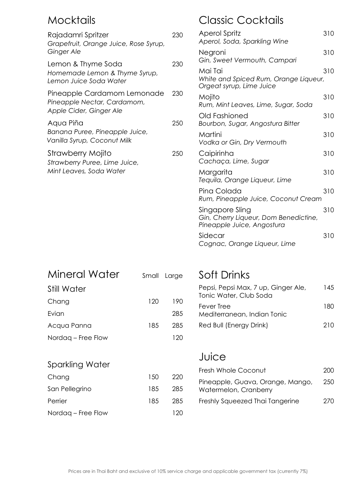## Mocktails

| Rajadamri Spritzer<br>Grapefruit, Orange Juice, Rose Syrup,<br>Ginger Ale                             | 230 | Aperol Spritz<br>Aperol, Soda, Sparkling Wine                                          | 31C |
|-------------------------------------------------------------------------------------------------------|-----|----------------------------------------------------------------------------------------|-----|
|                                                                                                       |     | Negroni<br>Gin, Sweet Vermouth, Campari                                                | 31C |
| Lemon & Thyme Soda<br>Homemade Lemon & Thyme Syrup,<br>Lemon Juice Soda Water                         | 230 | Mai Tai<br>White and Spiced Rum, Orange Liqueur,<br>Orgeat syrup, Lime Juice           | 31C |
| Pineapple Cardamom Lemonade<br>Pineapple Nectar, Cardamom,                                            | 230 | Mojito<br>Rum, Mint Leaves, Lime, Sugar, Soda                                          | 31C |
| Apple Cider, Ginger Ale<br>Aqua Piña<br>Banana Puree, Pineapple Juice,<br>Vanilla Syrup, Coconut Milk | 250 | Old Fashioned<br>Bourbon, Sugar, Angostura Bitter                                      | 31C |
|                                                                                                       |     | Martini<br>Vodka or Gin, Dry Vermouth                                                  | 31C |
| Strawberry Mojito<br>Strawberry Puree, Lime Juice,<br>Mint Leaves, Soda Water                         | 250 | Caipirinha<br>Cachaça, Lime, Sugar                                                     | 31C |
|                                                                                                       |     | Margarita<br>Tequila, Orange Liqueur, Lime                                             | 31C |
|                                                                                                       |     | Pina Colada<br>Rum, Pineapple Juice, Coconut Cream                                     | 31C |
|                                                                                                       |     | Singapore Sling<br>Gin, Cherry Liqueur, Dom Benedictine,<br>Pineapple Juice, Angostura | 31C |
|                                                                                                       |     | Sidecar<br>Cognac, Orange Liqueur, Lime                                                | 31C |
|                                                                                                       |     |                                                                                        |     |

| Mineral Water      | Small | Large |  |
|--------------------|-------|-------|--|
| Still Water        |       |       |  |
| Chang              | 120   | 190   |  |
| Evian              |       | 285   |  |
| Acqua Panna        | 185   | 285   |  |
| Nordag – Free Flow |       | 120   |  |
| Sparkling Water    |       |       |  |
| Chang              | 150   | 220   |  |
| San Pellegrino     | 185   | 285   |  |
| Perrier            | 185   | 285   |  |
| Nordag – Free Flow |       | 120   |  |

## Soft Drinks

Classic Cocktails

| Pepsi, Pepsi Max, 7 up, Ginger Ale,<br>Tonic Water, Club Soda | 145 |
|---------------------------------------------------------------|-----|
| Fever Tree<br>Mediterranean, Indian Tonic                     | 180 |
| Red Bull (Energy Drink)                                       | 210 |

## Juice

| Fresh Whole Coconut                                       | 200 |
|-----------------------------------------------------------|-----|
| Pineapple, Guava, Orange, Mango,<br>Watermelon, Cranberry | 250 |
| Freshly Squeezed Thai Tangerine                           | 270 |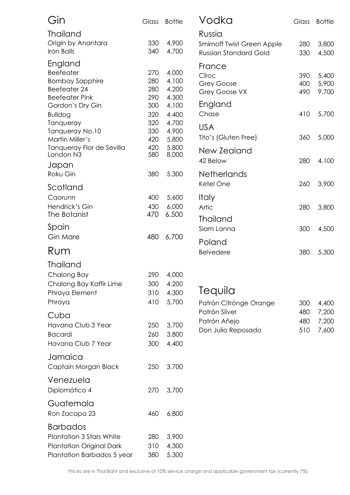| Gin                                                                                                                                  | Glass                                  | <b>Bottle</b>                                      | Vodka                                                                       | Glass                    | <b>Bottle</b>                    |
|--------------------------------------------------------------------------------------------------------------------------------------|----------------------------------------|----------------------------------------------------|-----------------------------------------------------------------------------|--------------------------|----------------------------------|
| <b>Thailand</b><br>Origin by Anantara<br>Iron Balls                                                                                  | 330<br>340                             | 4,900<br>4,700                                     | Russia<br><b>Smirnoff Twist Green Apple</b><br><b>Russian Standard Gold</b> | 280<br>330               | 3,800<br>4,500                   |
| England<br><b>Beefeater</b><br><b>Bombay Sapphire</b><br>Beefeater 24<br><b>Beefeater Pink</b><br>Gordon's Dry Gin<br><b>Bulldog</b> | 270<br>280<br>280<br>290<br>300<br>320 | 4,000<br>4,100<br>4,200<br>4,300<br>4,100<br>4,400 | France<br>Cîroc<br>Grey Goose<br>Grey Goose VX<br>England<br>Chase          | 390<br>400<br>490<br>410 | 5,400<br>5,900<br>9,700<br>5,700 |
| Tanqueray<br>Tanqueray No.10<br>Martin Miller's                                                                                      | 320<br>330<br>420                      | 4,700<br>4,900<br>5,800                            | <b>USA</b><br>Tito's (Gluten Free)                                          | 360                      | 5,000                            |
| Tanqueray Flor de Sevilla<br>London N3<br>Japan                                                                                      | 420<br>580                             | 5,800<br>8,000                                     | New Zealand<br>42 Below                                                     | 280                      | 4,100                            |
| Roku Gin<br>Scotland                                                                                                                 | 380                                    | 5,300                                              | <b>Netherlands</b><br>Ketel One                                             | 260                      | 3,900                            |
| Caorunn<br>Hendrick's Gin<br>The Botanist                                                                                            | 400<br>430<br>470                      | 5,600<br>6,000<br>6,500                            | <b>Italy</b><br>Artic<br><b>Thailand</b>                                    | 280                      | 3,800                            |
| Spain<br>Gin Mare                                                                                                                    | 480                                    | 6,700                                              | Siam Lanna<br>Poland                                                        | 300                      | 4,500                            |
| Rum                                                                                                                                  |                                        |                                                    | <b>Belvedere</b>                                                            | 380                      | 5,300                            |
| <b>Thailand</b><br>Chalong Bay<br>Chalong Bay Kaffir Lime<br>Phraya Element<br>Phraya                                                | 290<br>300<br>310<br>410               | 4,000<br>4,200<br>4,300<br>5,700                   | Tequila<br>Patrón Citrónge Orange                                           | 300                      | 4,400                            |
| Cuba<br>Havana Club 3 Year<br><b>Bacardi</b><br>Havana Club 7 Year                                                                   | 250<br>260<br>300                      | 3,700<br>3,800<br>4,400                            | Patrón Silver<br>Patrón Añejo<br>Don Julio Reposado                         | 480<br>480<br>510        | 7,200<br>7,200<br>7,600          |
| Jamaica<br>Captain Morgan Black                                                                                                      | 250                                    | 3,700                                              |                                                                             |                          |                                  |
| Venezuela<br>Diplomático 4                                                                                                           | 270                                    | 3,700                                              |                                                                             |                          |                                  |
| Guatemala<br>Ron Zacapa 23                                                                                                           | 460                                    | 6,800                                              |                                                                             |                          |                                  |
| <b>Barbados</b><br><b>Plantation 3 Stars White</b><br><b>Plantation Original Dark</b><br>Plantation Barbados 5 year                  | 280<br>310<br>380                      | 3,900<br>4,300<br>5,300                            |                                                                             |                          |                                  |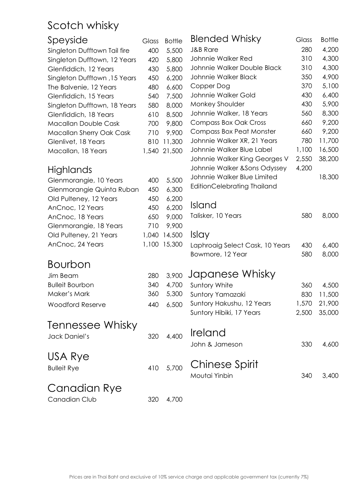## Scotch whisky

| Speyside                     | Glass | <b>Bottle</b> | <b>Blended Whisky</b>                         | Glass          | <b>Bottle</b>    |
|------------------------------|-------|---------------|-----------------------------------------------|----------------|------------------|
| Singleton Dufftown Tail fire | 400   | 5,500         | <b>J&amp;B Rare</b>                           | 280            | 4,200            |
| Singleton Dufftown, 12 Years | 420   | 5,800         | Johnnie Walker Red                            | 310            | 4,300            |
| Glenfiddich, 12 Years        | 430   | 5,800         | Johnnie Walker Double Black                   | 310            | 4,300            |
| Singleton Dufftown, 15 Years | 450   | 6,200         | Johnnie Walker Black                          | 350            | 4,900            |
| The Balvenie, 12 Years       | 480   | 6,600         | Copper Dog                                    | 370            | 5,100            |
| Glenfiddich, 15 Years        | 540   | 7,500         | Johnnie Walker Gold                           | 430            | 6,400            |
| Singleton Dufftown, 18 Years | 580   | 8,000         | Monkey Shoulder                               | 430            | 5,900            |
| Glenfiddich, 18 Years        | 610   | 8,500         | Johnnie Walker, 18 Years                      | 560            | 8,300            |
| Macallan Double Cask         | 700   | 9,800         | <b>Compass Box Oak Cross</b>                  | 660            | 9,200            |
| Macallan Sherry Oak Cask     | 710   | 9,900         | Compass Box Peat Monster                      | 660            | 9,200            |
| Glenlivet, 18 Years          | 810   | 11,300        | Johnnie Walker XR, 21 Years                   | 780            | 11,700           |
| Macallan, 18 Years           | 1,540 | 21,500        | Johnnie Walker Blue Label                     | 1,100          | 16,500           |
|                              |       |               | Johnnie Walker King Georges V                 | 2,550          | 38,200           |
| Highlands                    |       |               | Johnnie Walker & Sons Odyssey                 | 4,200          |                  |
| Glenmorangie, 10 Years       | 400   | 5,500         | Johnnie Walker Blue Limited                   |                | 18,300           |
| Glenmorangie Quinta Ruban    | 450   | 6,300         | EditionCelebrating Thailand                   |                |                  |
| Old Pulteney, 12 Years       | 450   | 6,200         |                                               |                |                  |
| AnCnoc, 12 Years             | 450   | 6,200         | <b>Island</b>                                 |                |                  |
| AnCnoc, 18 Years             | 650   | 9,000         | Talisker, 10 Years                            | 580            | 8,000            |
| Glenmorangie, 18 Years       | 710   | 9,900         |                                               |                |                  |
| Old Pulteney, 21 Years       | 1,040 | 14,500        | <i>Islay</i>                                  |                |                  |
| AnCnoc, 24 Years             | 1,100 | 15,300        | Laphroaig Select Cask, 10 Years               | 430            | 6,400            |
|                              |       |               | Bowmore, 12 Year                              | 580            | 8,000            |
| <b>Bourbon</b>               |       |               |                                               |                |                  |
| Jim Beam                     | 280   | 3,900         | Japanese Whisky                               |                |                  |
| <b>Bulleit Bourbon</b>       | 340   | 4,700         | Suntory White                                 | 360            | 4,500            |
| Maker's Mark                 | 360   | 5,300         |                                               | 830            |                  |
|                              |       |               | Suntory Yamazaki<br>Suntory Hakushu, 12 Years |                | 11,500           |
| <b>Woodford Reserve</b>      | 440   | 6,500         | Suntory Hibiki, 17 Years                      | 1,570<br>2,500 | 21,900<br>35,000 |
|                              |       |               |                                               |                |                  |
| Tennessee Whisky             |       |               |                                               |                |                  |
| Jack Daniel's                | 320   | 4,400         | <b>Ireland</b>                                |                |                  |
|                              |       |               | John & Jameson                                | 330            | 4,600            |
| USA Rye                      |       |               |                                               |                |                  |
|                              | 410   | 5,700         | Chinese Spirit                                |                |                  |
| <b>Bulleit Rye</b>           |       |               | Moutai Yinbin                                 | 340            | 3,400            |
|                              |       |               |                                               |                |                  |
| Canadian Rye                 |       |               |                                               |                |                  |
| Canadian Club                | 320   | 4,700         |                                               |                |                  |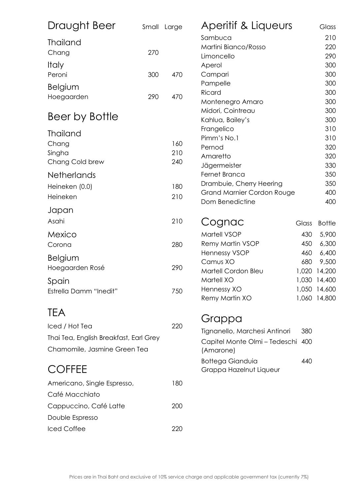| Draught Beer                           |     | Small Large | Aperitif & Liqueurs                        |       | Glass                        |
|----------------------------------------|-----|-------------|--------------------------------------------|-------|------------------------------|
| <b>Thailand</b>                        |     |             | Sambuca                                    |       | 210                          |
| Chang                                  | 270 |             | Martini Bianco/Rosso                       |       | 220                          |
|                                        |     |             | Limoncello                                 |       | 290                          |
| <i>Italy</i>                           |     |             | Aperol                                     |       | 300                          |
| Peroni                                 | 300 | 470         | Campari                                    |       | 300                          |
| <b>Belgium</b>                         |     |             | Pampelle<br>Ricard                         |       | 300<br>300                   |
| Hoegaarden                             | 290 | 470         | Montenegro Amaro                           |       | 300                          |
|                                        |     |             | Midori, Cointreau                          |       | 300                          |
| Beer by Bottle                         |     |             | Kahlua, Bailey's                           |       | 300                          |
|                                        |     |             | Frangelico                                 |       | 310                          |
| <b>Thailand</b>                        |     |             | Pimm's No.1                                |       | 310                          |
| Chang                                  |     | 160         | Pernod                                     |       | 320                          |
| Singha                                 |     | 210         | Amaretto                                   |       | 320                          |
| Chang Cold brew                        |     | 240         | Jägermeister                               |       | 330                          |
| <b>Netherlands</b>                     |     |             | Fernet Branca                              |       | 350                          |
| Heineken (0.0)                         |     | 180         | Drambuie, Cherry Heering                   |       | 350                          |
| Heineken                               |     | 210         | Grand Marnier Cordon Rouge                 |       | 400                          |
|                                        |     |             | Dom Benedictine                            |       | 400                          |
| Japan                                  |     |             |                                            |       |                              |
| Asahi                                  |     | 210         | Cognac                                     | Glass | <b>Bottle</b>                |
| Mexico                                 |     |             | Martell VSOP                               | 430   | 5,900                        |
| Corona                                 |     | 280         | Remy Martin VSOP                           | 450   | 6,300                        |
| <b>Belgium</b>                         |     |             | <b>Hennessy VSOP</b>                       | 460   | 6,400                        |
| Hoegaarden Rosé                        |     | 290         | Camus XO                                   | 680   | 9,500                        |
|                                        |     |             | Martell Cordon Bleu                        | 1,020 | 14,200                       |
| Spain                                  |     |             | Martell XO                                 |       | 1,030 14,400                 |
| Estrella Damm "Inedit"                 |     | 750         | Hennessy XO<br>Remy Martin XO              |       | 1,050 14,600<br>1,060 14,800 |
|                                        |     |             |                                            |       |                              |
| <b>TEA</b>                             |     |             |                                            |       |                              |
| Iced / Hot Tea                         |     | 220         | Grappa                                     |       |                              |
| Thai Tea, English Breakfast, Earl Grey |     |             | Tignanello, Marchesi Antinori              | 380   |                              |
| Chamomile, Jasmine Green Tea           |     |             | Capitel Monte Olmi - Tedeschi<br>(Amarone) | 400   |                              |
|                                        |     |             | <b>Bottega Gianduia</b>                    | 440   |                              |
| <b>COFFEE</b>                          |     |             | Grappa Hazelnut Liqueur                    |       |                              |
| Americano, Single Espresso,            |     | 180         |                                            |       |                              |
| Café Macchiato                         |     |             |                                            |       |                              |
| Cappuccino, Café Latte                 |     | 200         |                                            |       |                              |
|                                        |     |             |                                            |       |                              |
| Double Espresso                        |     |             |                                            |       |                              |
| Iced Coffee                            |     | 220         |                                            |       |                              |
|                                        |     |             |                                            |       |                              |